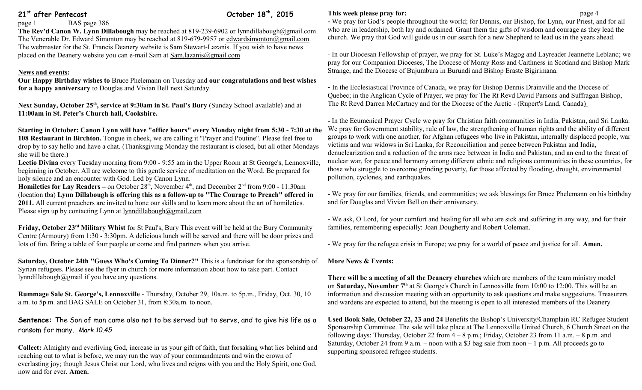# **21st after Pentecost October 18th, 2015**

#### page 1 BAS page 386

**The Rev'd Canon W. Lynn Dillabough** may be reached at 819-239-6902 or [lynndillabough@gmail.com.](mailto:lynndillabough@gmail.com) The Venerable Dr. Edward Simonton may be reached at 819-679-9957 or [edwardsimonton@gmail.com.](mailto:edwardsimonton@gmail.com) The webmaster for the St. Francis Deanery website is Sam Stewart-Lazanis. If you wish to have news placed on the Deanery website you can e-mail Sam at [Sam.lazanis@gmail.com](mailto:Sam.lazanis@gmail.com)

## **News and events:**

**Our Happy Birthday wishes to** Bruce Phelemann on Tuesday and **our congratulations and best wishes for a happy anniversary** to Douglas and Vivian Bell next Saturday.

**Next Sunday, October 25th, service at 9:30am in St. Paul's Bury** (Sunday School available) and at **11:00am in St. Peter's Church hall, Cookshire.**

**Starting in October: Canon Lynn will have "office hours" every Monday night from 5:30 - 7:30 at the 108 Restaurant in Birchton.** Tongue in cheek, we are calling it "Prayer and Poutine". Please feel free to drop by to say hello and have a chat. (Thanksgiving Monday the restaurant is closed, but all other Mondays she will be there.)

**Lectio Divina** every Tuesday morning from 9:00 - 9:55 am in the Upper Room at St George's, Lennoxville, beginning in October. All are welcome to this gentle service of meditation on the Word. Be prepared for holy silence and an encounter with God. Led by Canon Lynn.

**Homiletics for Lay Readers** – on October 28<sup>th</sup>, November 4<sup>th</sup>, and December 2<sup>nd</sup> from 9:00 - 11:30am (location tba) **Lynn Dillabough is offering this as a follow-up to "The Courage to Preach" offered in 2011.** All current preachers are invited to hone our skills and to learn more about the art of homiletics. Please sign up by contacting Lynn at  $lynndillabough@gmail.com$ 

**Friday, October 23rd Military Whist** for St Paul's, Bury This event will be held at the Bury Community Centre (Armoury) from 1:30 - 3:30pm. A delicious lunch will be served and there will be door prizes and lots of fun. Bring a table of four people or come and find partners when you arrive.

**Saturday, October 24th "Guess Who's Coming To Dinner?"** This is a fundraiser for the sponsorship of Syrian refugees. Please see the flyer in church for more information about how to take part. Contact lynndillabough@gmail if you have any questions.

**Rummage Sale St. George's, Lennoxville** - Thursday, October 29, 10a.m. to 5p.m., Friday, Oct. 30, 10 a.m. to 5p.m. and BAG SALE on October 31, from 8:30a.m. to noon.

**Sentence:** The Son of man came also not to be served but to serve, and to give his life as a ransom for many. *Mark 10.45*

**Collect:** Almighty and everliving God, increase in us your gift of faith, that forsaking what lies behind and reaching out to what is before, we may run the way of your commandments and win the crown of everlasting joy; though Jesus Christ our Lord, who lives and reigns with you and the Holy Spirit, one God, now and for ever. **Amen.**

### **This week please pray for: page 4**

**-** We pray for God's people throughout the world; for Dennis, our Bishop, for Lynn, our Priest, and for all who are in leadership, both lay and ordained. Grant them the gifts of wisdom and courage as they lead the church. We pray that God will guide us in our search for a new Shepherd to lead us in the years ahead.

- In our Diocesan Fellowship of prayer, we pray for St. Luke's Magog and Layreader Jeannette Leblanc; we pray for our Companion Dioceses, The Diocese of Moray Ross and Caithness in Scotland and Bishop Mark Strange, and the Diocese of Bujumbura in Burundi and Bishop Eraste Bigirimana.

- In the Ecclesiastical Province of Canada, we pray for Bishop Dennis Drainville and the Diocese of Quebec; in the Anglican Cycle of Prayer, we pray for [The Rt Revd David Parsons](http://www.anglicancommunion.org/structures/member-churches/member-church/diocese/position.aspx?church=canada&dio=the-arctic&pos=bishop-of-the-diocese-of-the-arctic&posID=19466) and Suffragan Bishop, [The Rt Revd Darren McCartney](http://www.anglicancommunion.org/structures/member-churches/member-church/diocese/position.aspx?church=canada&dio=the-arctic&pos=suffragan-bishop-of-the-diocese-of-the-arctic&posID=19467) and for the Diocese of the Arctic - (Rupert's Land, Canada)

- In the Ecumenical Prayer Cycle we pray for Christian faith communities in India, Pakistan, and Sri Lanka. We pray for Government stability, rule of law, the strengthening of human rights and the ability of different groups to work with one another, for Afghan refugees who live in Pakistan, internally displaced people, war victims and war widows in Sri Lanka, for Reconciliation and peace between Pakistan and India, denuclearization and a reduction of the arms race between in India and Pakistan, and an end to the threat of nuclear war, for peace and harmony among different ethnic and religious communities in these countries, for those who struggle to overcome grinding poverty, for those affected by flooding, drought, environmental pollution, cyclones, and earthquakes.

- We pray for our families, friends, and communities; we ask blessings for Bruce Phelemann on his birthday and for Douglas and Vivian Bell on their anniversary.

**-** We ask, O Lord, for your comfort and healing for all who are sick and suffering in any way, and for their families, remembering especially: Joan Dougherty and Robert Coleman.

- We pray for the refugee crisis in Europe; we pray for a world of peace and justice for all. **Amen.**

#### **More News & Events:**

**There will be a meeting of all the Deanery churches** which are members of the team ministry model on **Saturday, November 7th** at St George's Church in Lennoxville from 10:00 to 12:00. This will be an information and discussion meeting with an opportunity to ask questions and make suggestions. Treasurers and wardens are expected to attend, but the meeting is open to all interested members of the Deanery.

**Used Book Sale, October 22, 23 and 24** Benefits the Bishop's University/Champlain RC Refugee Student Sponsorship Committee. The sale will take place at The Lennoxville United Church, 6 Church Street on the following days: Thursday, October 22 from 4 – 8 p.m.; Friday, October 23 from 11 a.m. – 8 p.m. and Saturday, October 24 from 9 a.m. – noon with a \$3 bag sale from noon – 1 p.m. All proceeds go to supporting sponsored refugee students.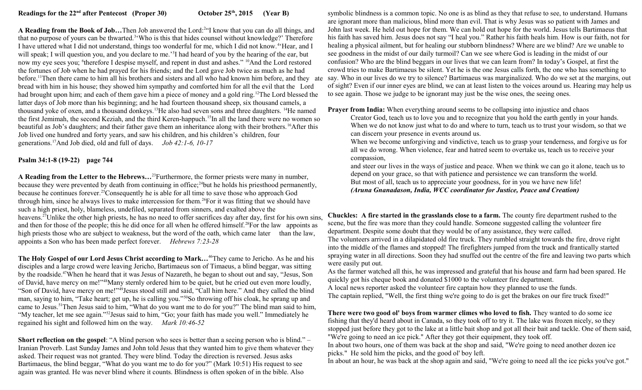A Reading from the Book of Job...Then Job answered the Lord:<sup>2</sup>"I know that you can do all things, and that no purpose of yours can be thwarted.<sup>3</sup> Who is this that hides counsel without knowledge?' Therefore I have uttered what I did not understand, things too wonderful for me, which I did not know.<sup>4</sup> Hear, and I will speak; I will question you, and you declare to me.<sup>5</sup> had heard of you by the hearing of the ear, but now my eye sees you; <sup>6</sup>therefore I despise myself, and repent in dust and ashes." <sup>10</sup>And the Lord restored the fortunes of Job when he had prayed for his friends; and the Lord gave Job twice as much as he had bread with him in his house; they showed him sympathy and comforted him for all the evil that the Lord had brought upon him; and each of them gave him a piece of money and a gold ring.<sup>12</sup>The Lord blessed the latter days of Job more than his beginning; and he had fourteen thousand sheep, six thousand camels, a thousand yoke of oxen, and a thousand donkeys.<sup>13</sup>He also had seven sons and three daughters.<sup>14</sup>He named the first Jemimah, the second Keziah, and the third Keren-happuch.<sup>15</sup>In all the land there were no women so beautiful as Job's daughters; and their father gave them an inheritance along with their brothers.<sup>16</sup>After this Job lived one hundred and forty years, and saw his children, and his children's children, four generations.<sup>17</sup>And Job died, old and full of days. *Job 42:1-6, 10-17*

### **Psalm 34:1-8 (19-22) page 744**

**A Reading from the Letter to the Hebrews…**<sup>23</sup>Furthermore, the former priests were many in number, because they were prevented by death from continuing in office;  $24$  but he holds his priesthood permanently, because he continues forever.<sup>25</sup>Consequently he is able for all time to save those who approach God through him, since he always lives to make intercession for them.<sup>26</sup>For it was fitting that we should have such a high priest, holy, blameless, undefiled, separated from sinners, and exalted above the heavens.<sup>27</sup>Unlike the other high priests, he has no need to offer sacrifices day after day, first for his own sins, and then for those of the people; this he did once for all when he offered himself.<sup>28</sup>For the law appoints as high priests those who are subject to weakness, but the word of the oath, which came later than the law, appoints a Son who has been made perfect forever. *Hebrews 7:23-28*

**The Holy Gospel of our Lord Jesus Christ according to Mark…**<sup>46</sup>They came to Jericho. As he and his disciples and a large crowd were leaving Jericho, Bartimaeus son of Timaeus, a blind beggar, was sitting by the roadside.<sup>47</sup>When he heard that it was Jesus of Nazareth, he began to shout out and say, "Jesus, Son of David, have mercy on me!"<sup>48</sup>Many sternly ordered him to be quiet, but he cried out even more loudly, "Son of David, have mercy on me!"<sup>49</sup>Jesus stood still and said, "Call him here." And they called the blind man, saying to him, "Take heart; get up, he is calling you."<sup>50</sup>So throwing off his cloak, he sprang up and came to Jesus.<sup>51</sup>Then Jesus said to him, "What do you want me to do for you?" The blind man said to him, "My teacher, let me see again."<sup>52</sup>Jesus said to him, "Go; your faith has made you well." Immediately he regained his sight and followed him on the way. *Mark 10:46-52* 

**Short reflection on the gospel:** "A blind person who sees is better than a seeing person who is blind." – Iranian Proverb. Last Sunday James and John told Jesus that they wanted him to give them whatever they asked. Their request was not granted. They were blind. Today the direction is reversed. Jesus asks Bartimaeus, the blind beggar, "What do you want me to do for you?" (Mark 10:51) His request to see again was granted. He was never blind where it counts. Blindness is often spoken of in the bible. Also

before.<sup>11</sup>Then there came to him all his brothers and sisters and all who had known him before, and they ate say. Who in our lives do we try to silence? Bartimaeus was marginalized. Who do we set at the margins, out symbolic blindness is a common topic. No one is as blind as they that refuse to see, to understand. Humans are ignorant more than malicious, blind more than evil. That is why Jesus was so patient with James and John last week. He held out hope for them. We can hold out hope for the world. Jesus tells Bartimaeus that his faith has saved him. Jesus does not say "I heal you." Rather his faith heals him. How is our faith, not for healing a physical ailment, but for healing our stubborn blindness? Where are we blind? Are we unable to see goodness in the midst of our daily turmoil? Can we see where God is leading in the midst of our confusion? Who are the blind beggars in our lives that we can learn from? In today's Gospel, at first the crowd tries to make Bartimaeus be silent. Yet he is the one Jesus calls forth, the one who has something to of sight? Even if our inner eyes are blind, we can at least listen to the voices around us. Hearing may help us to see again. Those we judge to be ignorant may just be the wise ones, the seeing ones.

**Prayer from India:** When everything around seems to be collapsing into injustice and chaos

Creator God, teach us to love you and to recognize that you hold the earth gently in your hands. When we do not know just what to do and where to turn, teach us to trust your wisdom, so that we can discern your presence in events around us.

When we become unforgiving and vindictive, teach us to grasp your tenderness, and forgive us for all we do wrong. When violence, fear and hatred seem to overtake us, teach us to receive your compassion,

and steer our lives in the ways of justice and peace. When we think we can go it alone, teach us to depend on your grace, so that with patience and persistence we can transform the world. But most of all, teach us to appreciate your goodness, for in you we have new life! *(Aruna Gnanadason, India, WCC coordinator for Justice, Peace and Creation)*

**Chuckles: A fire started in the grasslands close to a farm.** The county fire department rushed to the scene, but the fire was more than they could handle. Someone suggested calling the volunteer fire department. Despite some doubt that they would be of any assistance, they were called. The volunteers arrived in a dilapidated old fire truck. They rumbled straight towards the fire, drove right into the middle of the flames and stopped! The firefighters jumped from the truck and frantically started spraying water in all directions. Soon they had snuffed out the centre of the fire and leaving two parts which were easily put out.

As the farmer watched all this, he was impressed and grateful that his house and farm had been spared. He quickly got his cheque book and donated \$1000 to the volunteer fire department.

A local news reporter asked the volunteer fire captain how they planned to use the funds. The captain replied, "Well, the first thing we're going to do is get the brakes on our fire truck fixed!"

**There were two good ol' boys from warmer climes who loved to fish.** They wanted to do some ice fishing that they'd heard about in Canada, so they took off to try it. The lake was frozen nicely, so they stopped just before they got to the lake at a little bait shop and got all their bait and tackle. One of them said, "We're going to need an ice pick." After they got their equipment, they took off.

In about two hours, one of them was back at the shop and said, "We're going to need another dozen ice picks." He sold him the picks, and the good ol' boy left.

In about an hour, he was back at the shop again and said, "We're going to need all the ice picks you've got."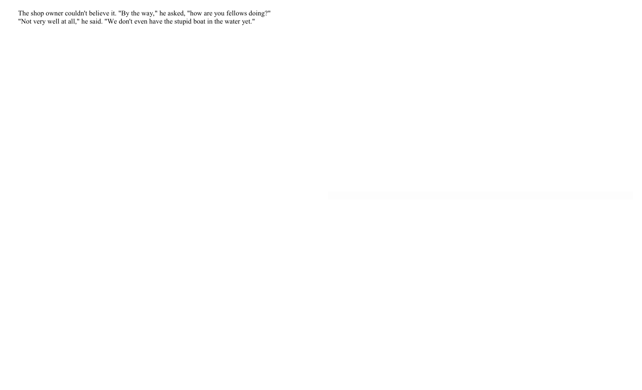The shop owner couldn't believe it. "By the way," he asked, "how are you fellows doing?" "Not very well at all," he said. "We don't even have the stupid boat in the water yet."